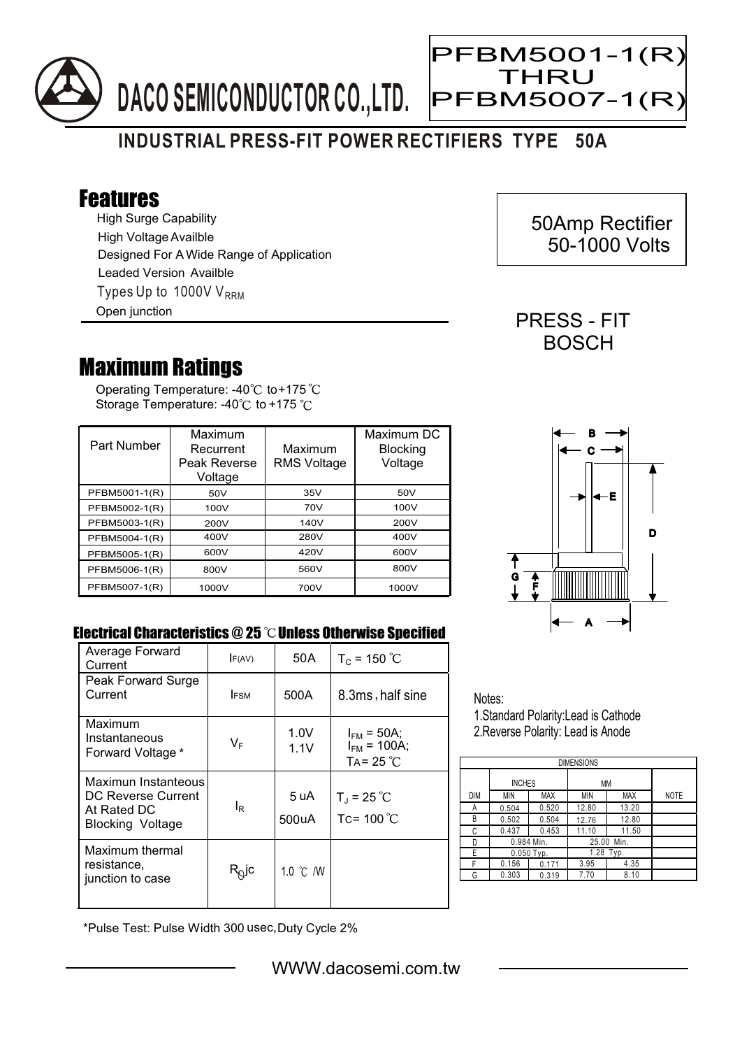

Ξ

## **INDUSTRIAL PRESS-FIT POWER RECTIFIERS TYPE 50A**

## Features

High Surge Capability Types Up to 1000V  $V_{RRM}$ High Voltage Availble Designed For A Wide Range of Application Leaded Version Availble Open junction

## Maximum Ratings

Operating Temperature: -40 $^\circ\text{C}$  to+175 Storage Temperature: -40 $\degree$ C to +175 $\degree$ C

| Part Number   | Maximum<br>Recurrent<br>Peak Reverse<br>Voltage | Maximum<br><b>RMS Voltage</b> | Maximum DC<br><b>Blocking</b><br>Voltage |
|---------------|-------------------------------------------------|-------------------------------|------------------------------------------|
| PFBM5001-1(R) | 50V                                             | 35V                           | 50V                                      |
| PFBM5002-1(R) | 100V                                            | 70V                           | 100V                                     |
| PFBM5003-1(R) | 200V                                            | 140V                          | 200V                                     |
| PFBM5004-1(R) | 400V                                            | 280V                          | 400V                                     |
| PFBM5005-1(R) | 600V                                            | 420V                          | 600V                                     |
| PFBM5006-1(R) | 800V                                            | 560V                          | 800V                                     |
| PFBM5007-1(R) | 1000V                                           | 700V                          | 1000V                                    |



 50Amp Rectifier 50-1000 Volts

PRESS - FIT **BOSCH** 

## Electrical Characteristics @ 25 °C Unless Otherwise Specified

| Average Forward<br>Current                                                                 | F(AV)                   | 50 A               | $T_c = 150 °C$                                            |
|--------------------------------------------------------------------------------------------|-------------------------|--------------------|-----------------------------------------------------------|
| Peak Forward Surge<br>Current                                                              | <b>IFSM</b>             | 500A               | 8.3ms, half sine                                          |
| Maximum<br>Instantaneous<br>Forward Voltage *                                              | $\mathsf{V}_\mathsf{F}$ | 1.0V<br>1.1V       | $I_{FM}$ = 50A;<br>$I_{FM}$ = 100A;<br>TA= $25^{\circ}$ C |
| Maximun Instanteous<br><b>DC Reverse Current</b><br>At Rated DC<br><b>Blocking Voltage</b> | lŖ                      | 5 uA<br>500uA      | $T_{J}$ = 25 °C<br>Tc= $100^{\circ}$ C                    |
| Maximum thermal<br>resistance,<br>junction to case                                         | $R_Q$ jc                | 1.0 $\degree$ C /W |                                                           |

Notes: 1.Standard Polarity:Lead is Cathode

2.Reverse Polarity: Lead is Anode

| <b>DIMENSIONS</b> |               |            |            |            |             |  |  |  |
|-------------------|---------------|------------|------------|------------|-------------|--|--|--|
|                   | <b>INCHES</b> |            | МM         |            |             |  |  |  |
| <b>DIM</b>        | <b>MIN</b>    | <b>MAX</b> | ΜIΝ        | <b>MAX</b> | <b>NOTE</b> |  |  |  |
| А                 | 0.504         | 0.520      | 12.80      | 13.20      |             |  |  |  |
| В                 | 0.502         | 0.504      | 12.76      | 12.80      |             |  |  |  |
| С                 | 0.437         | 0.453      | 11.10      | 11.50      |             |  |  |  |
| D                 | 0.984 Min.    |            | 25.00 Min. |            |             |  |  |  |
| E                 | $0.050$ Typ.  |            | 1.28 Typ.  |            |             |  |  |  |
| F                 | 0.156         | 0.171      | 3.95       | 4.35       |             |  |  |  |
| G                 | 0.303         | 0.319      | 7.70       | 8.10       |             |  |  |  |

\*Pulse Test: Pulse Width 300 usec,Duty Cycle 2%